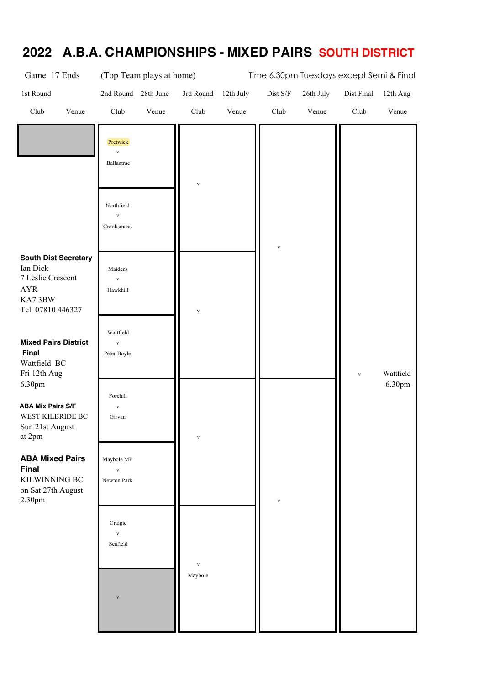| Game 17 Ends                                                                                             | (Top Team plays at home)                  |              |           |                 | Time 6.30pm Tuesdays except Semi & Final |              |                     |
|----------------------------------------------------------------------------------------------------------|-------------------------------------------|--------------|-----------|-----------------|------------------------------------------|--------------|---------------------|
| 1st Round                                                                                                | 2nd Round<br>28th June                    | 3rd Round    | 12th July | $\rm Dist\;S/F$ | 26th July                                | Dist Final   | 12th Aug            |
| Club<br>Venue                                                                                            | Club<br>Venue                             | Club         | Venue     | Club            | Venue                                    | Club         | Venue               |
|                                                                                                          | Pretwick<br>$\mathbf{V}$<br>Ballantrae    | $\mathbf{V}$ |           |                 |                                          |              |                     |
|                                                                                                          | Northfield<br>$\mathbf{V}$<br>Crooksmoss  |              |           | $\mathbf{V}$    |                                          |              |                     |
| <b>South Dist Secretary</b><br>Ian Dick<br>7 Leslie Crescent<br><b>AYR</b><br>KA73BW<br>Tel 07810 446327 | Maidens<br>$\mathbf{V}$<br>Hawkhill       | $\mathbf{V}$ |           |                 |                                          |              |                     |
| <b>Mixed Pairs District</b><br>Final<br>Wattfield BC<br>Fri 12th Aug<br>6.30pm                           | Wattfield<br>$\mathbf{V}$<br>Peter Boyle  |              |           |                 |                                          | $\mathbf{V}$ | Wattfield<br>6.30pm |
| <b>ABA Mix Pairs S/F</b><br>WEST KILBRIDE BC<br>Sun 21st August<br>at 2pm                                | Forehill<br>$\mathbf{V}$<br>Girvan        |              |           |                 |                                          |              |                     |
| <b>ABA Mixed Pairs</b><br><b>Final</b><br>KILWINNING BC<br>on Sat 27th August<br>2.30pm                  | Maybole MP<br>$\mathbf{V}$<br>Newton Park |              |           | $\mathbf{V}$    |                                          |              |                     |
|                                                                                                          | Craigie<br>$\mathbf{V}$<br>Seafield       | $\mathbf{V}$ |           |                 |                                          |              |                     |
|                                                                                                          | $\overline{\mathbf{V}}$                   | Maybole      |           |                 |                                          |              |                     |

## **2022 A.B.A. CHAMPIONSHIPS - MIXED PAIRS SOUTH DISTRICT**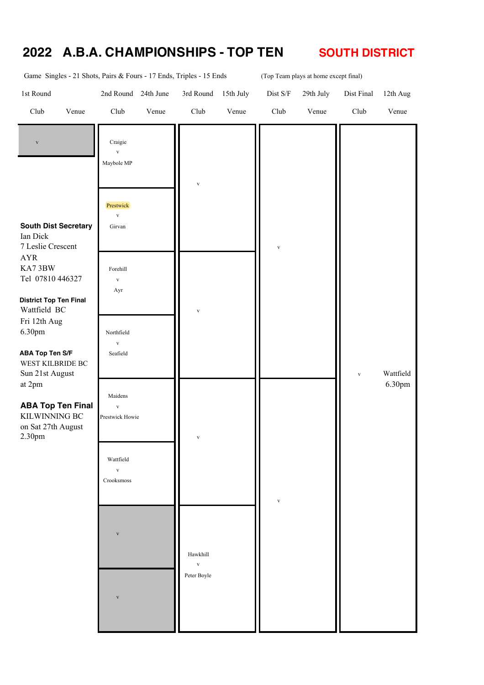#### **2022 A.B.A. CHAMPIONSHIPS - TOP TEN SOUTH DISTRICT**

| Game Singles - 21 Shots, Pairs & Fours - 17 Ends, Triples - 15 Ends     |                                         |           |                                         |           |              | (Top Team plays at home except final) |              |           |
|-------------------------------------------------------------------------|-----------------------------------------|-----------|-----------------------------------------|-----------|--------------|---------------------------------------|--------------|-----------|
| 1st Round                                                               | 2nd Round                               | 24th June | 3rd Round                               | 15th July | $Dist S/F$   | 29th July                             | Dist Final   | 12th Aug  |
| Club<br>Venue                                                           | Club                                    | Venue     | Club                                    | Venue     | Club         | Venue                                 | Club         | Venue     |
| $\mathbf{V}$                                                            | Craigie<br>$\bar{V}$<br>Maybole MP      |           |                                         |           |              |                                       |              |           |
| <b>South Dist Secretary</b>                                             | Prestwick<br>$\mathbf{V}$<br>Girvan     |           | $\mathbf{V}$                            |           |              |                                       |              |           |
| Ian Dick<br>7 Leslie Crescent                                           |                                         |           |                                         |           | $\mathbf{V}$ |                                       |              |           |
| <b>AYR</b><br>KA73BW<br>Tel 07810 446327                                | Forehill<br>$\mathbf{V}$<br>Ayr         |           |                                         |           |              |                                       |              |           |
| <b>District Top Ten Final</b><br>Wattfield BC<br>Fri 12th Aug<br>6.30pm | Northfield                              |           | $\mathbf{V}$                            |           |              |                                       |              |           |
| <b>ABA Top Ten S/F</b><br>WEST KILBRIDE BC<br>Sun 21st August           | $\mathbf{V}$<br>Seafield                |           |                                         |           |              |                                       | $\mathbf{V}$ | Wattfield |
| at 2pm<br><b>ABA Top Ten Final</b><br>KILWINNING BC                     | Maidens<br>$\bar{V}$<br>Prestwick Howie |           |                                         |           |              |                                       |              | 6.30pm    |
| on Sat 27th August<br>2.30pm                                            | Wattfield                               |           | $\mathbf{V}$                            |           |              |                                       |              |           |
|                                                                         | $\mathbf{V}$<br>Crooksmoss              |           |                                         |           | $\mathbf{V}$ |                                       |              |           |
|                                                                         | $\mathbf{V}$                            |           |                                         |           |              |                                       |              |           |
|                                                                         |                                         |           | Hawkhill<br>$\mathbf{V}$<br>Peter Boyle |           |              |                                       |              |           |
|                                                                         | $\overline{\mathbf{V}}$                 |           |                                         |           |              |                                       |              |           |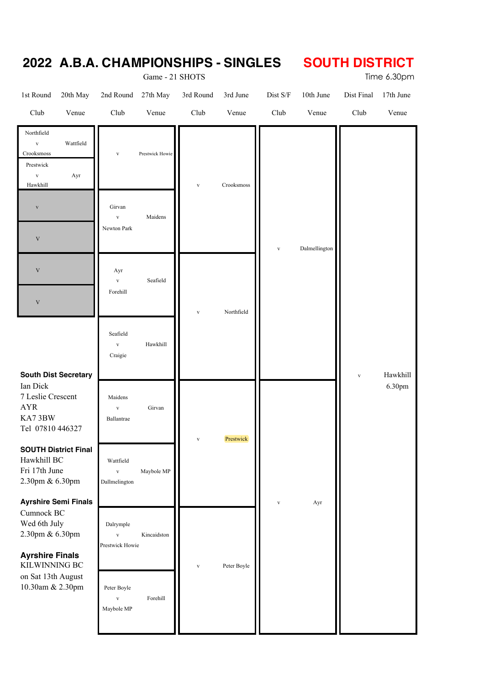|                                                                                                        |                                              | Game - 21 SHOTS          |                   |                            |                     |                    |                    | Time 6.30pm        |  |  |  |  |
|--------------------------------------------------------------------------------------------------------|----------------------------------------------|--------------------------|-------------------|----------------------------|---------------------|--------------------|--------------------|--------------------|--|--|--|--|
| 1st Round<br>20th May<br>Club<br>Venue                                                                 | 2nd Round<br>Club                            | 27th May<br>Venue        | 3rd Round<br>Club | 3rd June<br>Venue          | $Dist\ S/F$<br>Club | 10th June<br>Venue | Dist Final<br>Club | 17th June<br>Venue |  |  |  |  |
| Northfield<br>$\mathbf{V}$<br>Wattfield<br>Crooksmoss<br>Prestwick<br>$\mathbf{V}$<br>Ayr<br>Hawkhill  | $\mathbf{V}$                                 | Prestwick Howie          | $\mathbf{V}$      | Crooksmoss                 |                     |                    |                    |                    |  |  |  |  |
| $\mathbf{V}$<br>$\mathbf V$                                                                            | Girvan<br>$\mathbf{V}$<br>Newton Park        | Maidens                  |                   |                            |                     | Dalmellington      |                    |                    |  |  |  |  |
| $\mathbf V$<br>$\mathbf V$                                                                             | Ayr<br>$\mathbf{V}$<br>Forehill              | $\mathbf{V}$<br>Seafield |                   | Northfield<br>$\mathbf{V}$ |                     |                    |                    |                    |  |  |  |  |
| <b>South Dist Secretary</b>                                                                            | Seafield<br>$\mathbf{V}$<br>Craigie          | Hawkhill                 |                   |                            |                     |                    | $\mathbf{V}$       | Hawkhill           |  |  |  |  |
| Ian Dick<br>7 Leslie Crescent<br>${\rm AYR}$<br>KA73BW<br>Tel 07810 446327                             | Maidens<br>$\mathbf{V}$<br>Ballantrae        | Girvan                   | $\mathbf{V}$      | Prestwick                  |                     |                    |                    | 6.30pm             |  |  |  |  |
| <b>SOUTH District Final</b><br>Hawkhill BC<br>Fri 17th June<br>2.30pm & 6.30pm                         | Wattfield<br>$\mathbf{V}$<br>Dallmelington   | Maybole MP               |                   |                            |                     |                    |                    |                    |  |  |  |  |
| <b>Ayrshire Semi Finals</b><br>Cumnock BC<br>Wed 6th July<br>2.30pm & 6.30pm<br><b>Ayrshire Finals</b> | Dalrymple<br>$\mathbf{V}$<br>Prestwick Howie | Kincaidston              |                   |                            | $\mathbf{V}$        | Ayr                |                    |                    |  |  |  |  |
| KILWINNING BC<br>on Sat 13th August<br>10.30am & 2.30pm                                                | Peter Boyle<br>$\mathbf{V}$<br>Maybole MP    | Forehill                 | $\mathbf{V}$      | Peter Boyle                |                     |                    |                    |                    |  |  |  |  |

# **2022 A.B.A. CHAMPIONSHIPS - SINGLES SOUTH DISTRICT**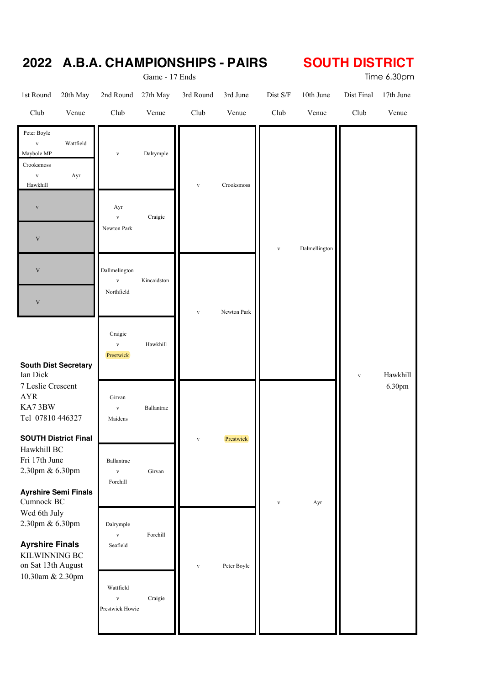|                                                                                                               |                                        |                                                            | Game - 17 Ends              |                             |                   |                     |                    |                    | Time 6.30pm        |
|---------------------------------------------------------------------------------------------------------------|----------------------------------------|------------------------------------------------------------|-----------------------------|-----------------------------|-------------------|---------------------|--------------------|--------------------|--------------------|
| 1st Round<br>Club                                                                                             | 20th May<br>Venue                      | 2nd Round<br>Club                                          | 27th May<br>Venue           | 3rd Round<br>Club           | 3rd June<br>Venue | $Dist\ S/F$<br>Club | 10th June<br>Venue | Dist Final<br>Club | 17th June<br>Venue |
| Peter Boyle<br>$\mathbf{V}$<br>Maybole MP<br>Crooksmoss<br>$\mathbf{V}$<br>Hawkhill<br>$\mathbf{V}$           | Wattfield<br>Ayr                       | $\mathbf{V}$<br>Ayr<br>$\mathbf{V}$                        | $\rm{Dalrymple}$<br>Craigie | $\mathbf{V}$                | Crooksmoss        |                     |                    |                    |                    |
| $\mathbf V$<br>$\mathbf V$<br>$\mathbf V$                                                                     |                                        | Newton Park<br>Dallmelington<br>$\mathbf{V}$<br>Northfield | Kincaidston                 |                             |                   | $\mathbf{V}$        | Dalmellington      |                    |                    |
| <b>South Dist Secretary</b><br>Ian Dick                                                                       |                                        | Craigie<br>$\mathbf{V}$<br>Prestwick                       | Hawkhill                    | Newton Park<br>$\mathbf{V}$ |                   |                     | $\mathbf{V}$       | Hawkhill           |                    |
| 7 Leslie Crescent<br><b>AYR</b><br>KA73BW<br>Tel 07810 446327                                                 |                                        | Girvan<br>$\mathbf{V}$<br>Maidens                          | Ballantrae                  |                             |                   |                     |                    |                    | 6.30pm             |
| <b>SOUTH District Final</b><br>Hawkhill BC<br>Fri 17th June<br>2.30pm & 6.30pm<br><b>Ayrshire Semi Finals</b> |                                        | Ballantrae<br>$\mathbf{V}$<br>Forehill                     | Girvan                      | $\mathbf{V}$                | Prestwick         |                     |                    |                    |                    |
| Cumnock BC<br>Wed 6th July<br>2.30pm & 6.30pm<br><b>Ayrshire Finals</b><br>KILWINNING BC                      |                                        | Dalrymple<br>$\mathbf{V}$<br>Seafield                      | Forehill                    | $\mathbf{V}$                | Peter Boyle       | $\mathbf{V}$        | Ayr                |                    |                    |
|                                                                                                               | on Sat 13th August<br>10.30am & 2.30pm | Wattfield<br>$\mathbf{V}$<br>Prestwick Howie               | Craigie                     |                             |                   |                     |                    |                    |                    |

## **2022 A.B.A. CHAMPIONSHIPS - PAIRS SOUTH DISTRICT**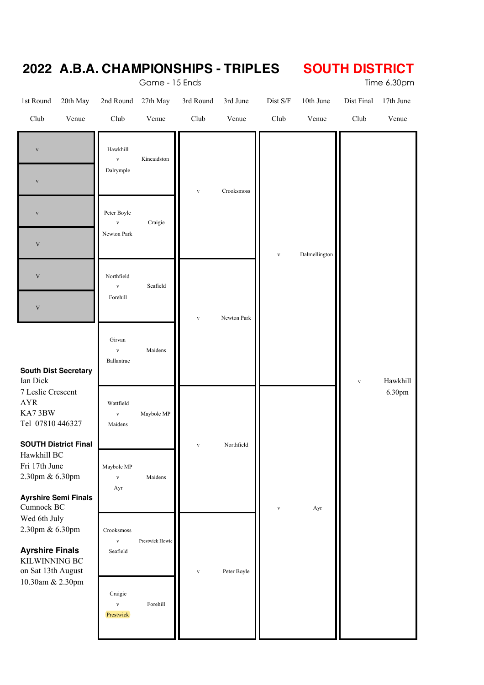|                                                                                                             |                                        |                             | Game - 15 Ends | 2022 A.B.A. CHAMPIONSHIPS - TRIPLES |             |              |               | <b>SOUTH DISTRICT</b> | Time 6.30pm |
|-------------------------------------------------------------------------------------------------------------|----------------------------------------|-----------------------------|----------------|-------------------------------------|-------------|--------------|---------------|-----------------------|-------------|
| 1st Round                                                                                                   | 20th May                               | 2nd Round                   | 27th May       | 3rd Round                           | 3rd June    | Dist S/F     | 10th June     | Dist Final            | 17th June   |
| Club                                                                                                        | Venue                                  | Club                        | Venue          | Club                                | Venue       | Club         | Venue         | Club                  | Venue       |
| $\mathbf{V}$                                                                                                |                                        | Hawkhill<br>$\mathbf{V}$    | Kincaidston    |                                     |             |              |               |                       |             |
| $\mathbf{V}$                                                                                                |                                        | Dalrymple                   |                | $\mathbf{V}$                        | Crooksmoss  |              |               |                       |             |
| $\mathbf{V}$                                                                                                |                                        | Peter Boyle<br>$\mathbf{V}$ | Craigie        |                                     |             |              |               |                       |             |
| $\mathbf V$                                                                                                 |                                        | Newton Park                 |                |                                     |             | $\mathbf{V}$ | Dalmellington |                       |             |
| $\mathbf V$                                                                                                 |                                        | Northfield<br>$\mathbf{V}$  | Seafield       |                                     |             |              |               |                       |             |
| $\ensuremath{\text{V}}$                                                                                     |                                        | Forehill                    |                | $\mathbf{V}$                        | Newton Park |              |               |                       |             |
|                                                                                                             |                                        | Girvan<br>$\mathbf{V}$      | Maidens        |                                     |             |              |               |                       |             |
| <b>South Dist Secretary</b><br>Ian Dick                                                                     |                                        | Ballantrae                  |                |                                     |             |              |               | $\mathbf{V}$          | Hawkhill    |
| 7 Leslie Crescent<br><b>AYR</b><br>KA73BW                                                                   |                                        | Wattfield<br>$\mathbf{V}$   | Maybole MP     |                                     |             |              |               |                       | 6.30pm      |
| Tel 07810 446327<br><b>SOUTH District Final</b>                                                             |                                        | Maidens                     |                | $\mathbf{V}$                        | Northfield  |              |               |                       |             |
| Hawkhill BC<br>Fri 17th June                                                                                |                                        | Maybole MP                  |                |                                     |             |              |               |                       |             |
| 2.30pm & 6.30pm<br><b>Ayrshire Semi Finals</b>                                                              |                                        | $\mathbf{V}$<br>Ayr         | Maidens        |                                     |             |              |               |                       |             |
| Cumnock BC<br>Wed 6th July                                                                                  |                                        | Ayr<br>$\mathbf{V}$         |                |                                     |             |              |               |                       |             |
| 2.30pm & 6.30pm<br><b>Ayrshire Finals</b><br><b>KILWINNING BC</b><br>on Sat 13th August<br>10.30am & 2.30pm | Crooksmoss<br>$\mathbf{V}$<br>Seafield | Prestwick Howie             | $\mathbf{V}$   | Peter Boyle                         |             |              |               |                       |             |
|                                                                                                             | Craigie<br>$\mathbf{V}$<br>Prestwick   | Forehill                    |                |                                     |             |              |               |                       |             |
|                                                                                                             |                                        |                             |                |                                     |             |              |               |                       |             |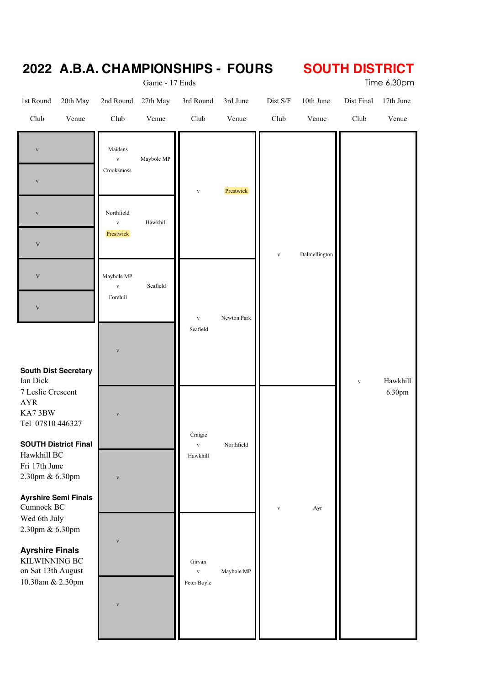| 2022 A.B.A. CHAMPIONSHIPS - FOURS                                                                                       |                                         | Game - 17 Ends    |                             |                   |                     |                    | <b>SOUTH DISTRICT</b> | Time 6.30pm        |
|-------------------------------------------------------------------------------------------------------------------------|-----------------------------------------|-------------------|-----------------------------|-------------------|---------------------|--------------------|-----------------------|--------------------|
| 1st Round<br>20th May<br>Club<br>Venue                                                                                  | 2nd Round<br>Club                       | 27th May<br>Venue | 3rd Round<br>Club           | 3rd June<br>Venue | $Dist\ S/F$<br>Club | 10th June<br>Venue | Dist Final<br>Club    | 17th June<br>Venue |
| $\mathbf{V}$<br>$\mathbf{V}$                                                                                            | Maidens<br>$\mathbf{V}$<br>Crooksmoss   | Maybole MP        | $\mathbf{V}$                | Prestwick         |                     |                    |                       |                    |
| $\mathbf{V}$<br>$\mathbf V$                                                                                             | Northfield<br>$\mathbf{V}$<br>Prestwick | Hawkhill          |                             |                   | $\mathbf{V}$        | Dalmellington      |                       |                    |
| $\mathbf V$<br>$\ensuremath{\mathbf{V}}$                                                                                | Maybole MP<br>$\mathbf{V}$<br>Forehill  | Seafield          | $\mathbf{V}$                | Newton Park       |                     |                    |                       |                    |
| <b>South Dist Secretary</b><br>Ian Dick                                                                                 | $\overline{\mathbf{V}}$                 |                   | Seafield                    |                   |                     |                    | $\mathbf{V}$          | Hawkhill           |
| 7 Leslie Crescent<br>AYR<br>KA73BW<br>Tel 07810 446327                                                                  | $\mathbf{V}$                            |                   | Craigie                     |                   |                     |                    |                       | 6.30pm             |
| <b>SOUTH District Final</b><br>Hawkhill BC<br>Fri 17th June<br>2.30pm & 6.30pm                                          | $\overline{\mathbf{V}}$                 |                   | $\mathbf{V}$<br>Hawkhill    | Northfield        |                     |                    |                       |                    |
| <b>Ayrshire Semi Finals</b><br>Cumnock BC<br>Wed 6th July<br>2.30pm & 6.30pm<br><b>Ayrshire Finals</b><br>KILWINNING BC | $\overline{\mathbf{V}}$                 |                   | Girvan                      |                   | $\mathbf{V}$        | Ayr                |                       |                    |
| on Sat 13th August<br>10.30am & 2.30pm                                                                                  | $\overline{\mathbf{V}}$                 |                   | $\mathbf{V}$<br>Peter Boyle | Maybole MP        |                     |                    |                       |                    |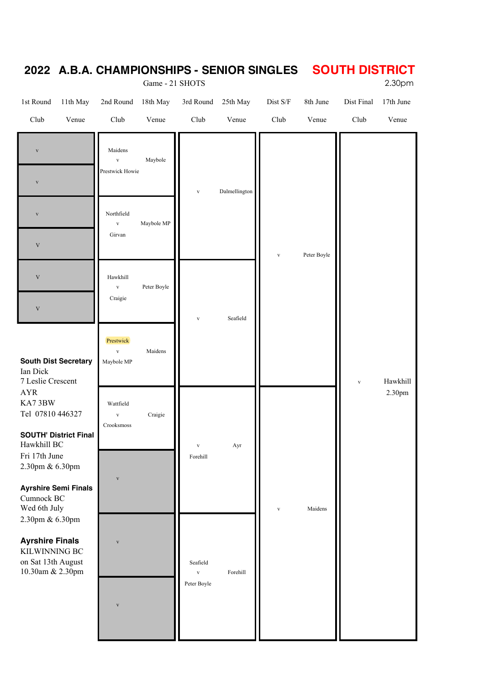|                                                                                                                                                                                                                                                                                                                                                                  |                                         |                                            | Game - 21 SHOTS          |                                         |               |              |              |                    | 2.30pm    |
|------------------------------------------------------------------------------------------------------------------------------------------------------------------------------------------------------------------------------------------------------------------------------------------------------------------------------------------------------------------|-----------------------------------------|--------------------------------------------|--------------------------|-----------------------------------------|---------------|--------------|--------------|--------------------|-----------|
| 1st Round                                                                                                                                                                                                                                                                                                                                                        | 11th May                                | 2nd Round                                  | 18th May                 | 3rd Round                               | 25th May      | $Dist\ S/F$  | 8th June     | Dist Final         | 17th June |
| Club                                                                                                                                                                                                                                                                                                                                                             | Venue                                   | Club                                       | Venue                    | Club                                    | Venue         | Club         | Venue        | Club               | Venue     |
| $\mathbf{V}$<br>$\mathbf{V}$                                                                                                                                                                                                                                                                                                                                     |                                         | Maidens<br>$\mathbf{V}$<br>Prestwick Howie | Maybole                  | $\mathbf{V}$                            | Dalmellington |              |              |                    |           |
| $\mathbf{V}$<br>$\mathbf V$<br>$\mathbf V$                                                                                                                                                                                                                                                                                                                       |                                         | Northfield<br>$\mathbf{V}$<br>Girvan       | Maybole MP               |                                         |               | $\mathbf{V}$ |              |                    |           |
| $\mathbf V$                                                                                                                                                                                                                                                                                                                                                      |                                         | Hawkhill<br>$\mathbf{V}$<br>Craigie        | Peter Boyle              | $\mathbf{V}$                            | Seafield      |              | Peter Boyle  |                    |           |
| <b>South Dist Secretary</b><br>Ian Dick<br>7 Leslie Crescent<br><b>AYR</b><br>KA73BW<br>Tel 07810 446327<br><b>SOUTH' District Final</b><br>Hawkhill BC<br>Fri 17th June<br>2.30pm & 6.30pm<br><b>Ayrshire Semi Finals</b><br>Cumnock BC<br>Wed 6th July<br>2.30pm & 6.30pm<br><b>Ayrshire Finals</b><br>KILWINNING BC<br>on Sat 13th August<br>10.30am & 2.30pm | Prestwick<br>$\mathbf{V}$<br>Maybole MP | Maidens                                    |                          |                                         |               |              | $\mathbf{V}$ | Hawkhill           |           |
|                                                                                                                                                                                                                                                                                                                                                                  | Wattfield<br>$\mathbf{V}$<br>Crooksmoss | Craigie                                    | $\mathbf{V}$<br>Forehill | Ayr                                     |               |              |              | 2.30 <sub>pm</sub> |           |
|                                                                                                                                                                                                                                                                                                                                                                  | V                                       |                                            |                          |                                         | $\mathbf{V}$  | Maidens      |              |                    |           |
|                                                                                                                                                                                                                                                                                                                                                                  |                                         | $\overline{\mathbf{V}}$                    |                          | Seafield<br>$\mathbf{V}$<br>Peter Boyle | Forehill      |              |              |                    |           |
|                                                                                                                                                                                                                                                                                                                                                                  |                                         | V                                          |                          |                                         |               |              |              |                    |           |

#### **2022 A.B.A. CHAMPIONSHIPS - SENIOR SINGLES SOUTH DISTRICT**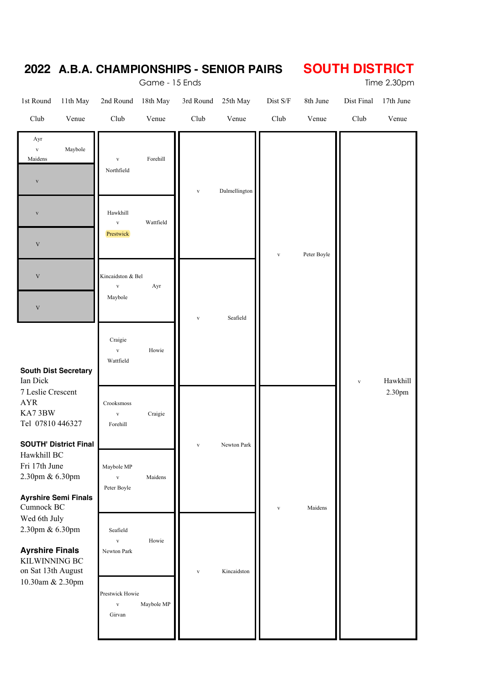|                                                                                                                                                  |                                              | Game - 15 Ends | <u> ZUZZ A.D.A. CHAMFIUNƏNIFƏ - ƏENIUN FAINƏ</u> |               | ו טוח ו טוע חו טטס<br>Time 2.30pm |             |              |           |  |
|--------------------------------------------------------------------------------------------------------------------------------------------------|----------------------------------------------|----------------|--------------------------------------------------|---------------|-----------------------------------|-------------|--------------|-----------|--|
| 1st Round<br>11th May                                                                                                                            | 2nd Round                                    | 18th May       | 3rd Round                                        | 25th May      | Dist S/F                          | 8th June    | Dist Final   | 17th June |  |
| Club<br>Venue                                                                                                                                    | Club                                         | Venue          | Club                                             | Venue         | Club                              | Venue       | Club         | Venue     |  |
| Ayr<br>Maybole<br>$\mathbf{V}$<br>Maidens<br>$\mathbf{V}$                                                                                        | $\mathbf{V}$<br>Northfield                   | Forehill       | $\mathbf{V}$                                     | Dalmellington |                                   |             |              |           |  |
| $\overline{\mathbf{V}}$<br>$\ensuremath{\mathbf{V}}$                                                                                             | Hawkhill<br>$\mathbf{V}$<br>Prestwick        | Wattfield      |                                                  |               | $\mathbf{V}$                      | Peter Boyle |              |           |  |
| $\ensuremath{\mathbf{V}}$<br>$\ensuremath{\mathbf{V}}$                                                                                           | Kincaidston & Bel<br>$\mathbf{V}$<br>Maybole | Ayr            | $\mathbf{V}$                                     | Seafield      |                                   |             |              |           |  |
| <b>South Dist Secretary</b><br>Ian Dick                                                                                                          | Craigie<br>$\mathbf{v}$<br>Wattfield         | Howie          |                                                  |               |                                   |             | $\mathbf{V}$ | Hawkhill  |  |
| 7 Leslie Crescent<br><b>AYR</b><br>KA73BW                                                                                                        | Crooksmoss<br>$\mathbf{V}$<br>Forehill       | Craigie        |                                                  |               |                                   |             |              | 2.30pm    |  |
| Tel 07810 446327<br><b>SOUTH' District Final</b><br>Hawkhill BC<br>Fri 17th June<br>2.30pm & 6.30pm<br><b>Ayrshire Semi Finals</b><br>Cumnock BC | Maybole MP<br>$\mathbf{V}$<br>Peter Boyle    | Maidens        | $\mathbf{V}$                                     | Newton Park   | $\mathbf{V}$                      | Maidens     |              |           |  |
| Wed 6th July<br>2.30pm & 6.30pm<br><b>Ayrshire Finals</b><br>KILWINNING BC<br>on Sat 13th August                                                 | Seafield<br>$\mathbf{V}$<br>Newton Park      | Howie          | $\mathbf{V}$                                     | Kincaidston   |                                   |             |              |           |  |
| 10.30am & 2.30pm                                                                                                                                 | Prestwick Howie<br>$\mathbf{V}$<br>Girvan    | Maybole MP     |                                                  |               |                                   |             |              |           |  |

#### **2022 A.B.A. CHAMPIONSHIPS - SENIOR PAIRS SOUTH DISTRICT**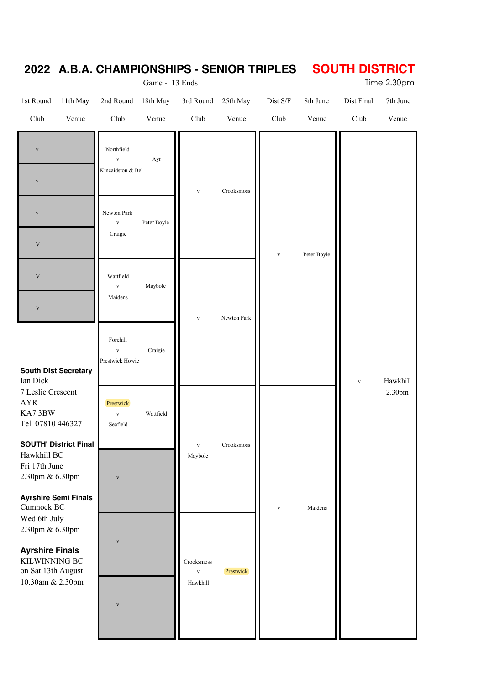# **2022 A.B.A. CHAMPIONSHIPS - SENIOR TRIPLES SOUTH DISTRICT**<br>Time 2.30pm

Game - 13 Ends

| 1st Round                                                               | 11th May                     | 2nd Round 18th May                              |             | 3rd Round                | 25th May    | Dist S/F     | 8th June     | Dist Final | 17th June |
|-------------------------------------------------------------------------|------------------------------|-------------------------------------------------|-------------|--------------------------|-------------|--------------|--------------|------------|-----------|
| Club                                                                    | Venue                        | Club                                            | Venue       | Club                     | Venue       | Club         | Venue        | Club       | Venue     |
| $\mathbf{V}$<br>$\mathbf{V}$                                            |                              | Northfield<br>$\mathbf{V}$<br>Kincaidston & Bel | Ayr         | $\mathbf{V}$             | Crooksmoss  |              |              |            |           |
| $\mathbf{V}$<br>$\ensuremath{\mathbf{V}}$                               |                              | Newton Park<br>$\mathbf{V}$<br>Craigie          | Peter Boyle |                          |             | $\mathbf{V}$ | Peter Boyle  |            |           |
| $\mathbf V$<br>$\mathbf V$                                              |                              | Wattfield<br>$\mathbf{V}$<br>Maidens            | Maybole     | $\mathbf{V}$             | Newton Park |              |              |            |           |
| <b>South Dist Secretary</b><br>Ian Dick                                 |                              | Forehill<br>$\mathbf{V}$<br>Prestwick Howie     | Craigie     |                          |             |              | $\mathbf{V}$ | Hawkhill   |           |
| 7 Leslie Crescent<br><b>AYR</b><br>KA73BW<br>Tel 07810 446327           |                              | Prestwick<br>$\mathbf{V}$<br>Seafield           | Wattfield   |                          |             |              |              |            | 2.30pm    |
| Hawkhill BC<br>Fri 17th June<br>2.30pm & 6.30pm                         | <b>SOUTH' District Final</b> | $\overline{\mathbf{V}}$                         |             | $\mathbf{V}$<br>Maybole  | Crooksmoss  |              |              |            |           |
| Cumnock BC<br>Wed 6th July<br>2.30pm & 6.30pm<br><b>Ayrshire Finals</b> | <b>Ayrshire Semi Finals</b>  | $\mathbf V$                                     |             | Crooksmoss               |             | $\mathbf{V}$ | Maidens      |            |           |
| KILWINNING BC<br>on Sat 13th August<br>10.30am & 2.30pm                 |                              | $\overline{\mathbf{V}}$                         |             | $\mathbf{V}$<br>Hawkhill | Prestwick   |              |              |            |           |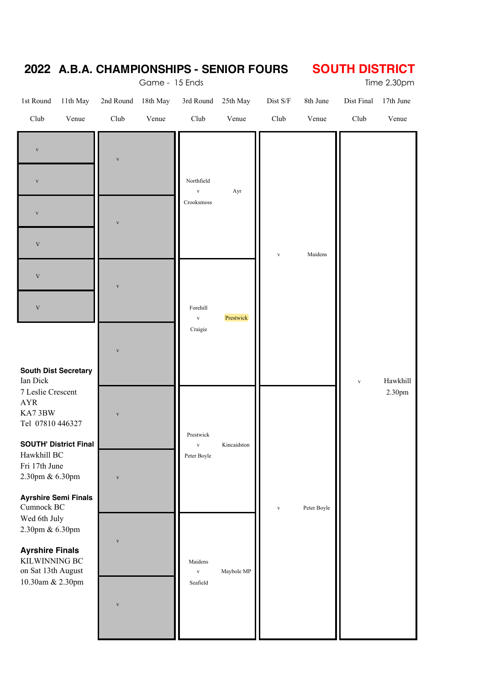|                                                                                                                                                                                 |          |                                                    | Game - 15 Ends | <u> ZUZZ A.D.A. CHAMFIONƏNIFƏ - ƏLNIUN FUUNƏ</u> |             |              |             | ו טוחוטוט וווטטט | Time 2.30pm |
|---------------------------------------------------------------------------------------------------------------------------------------------------------------------------------|----------|----------------------------------------------------|----------------|--------------------------------------------------|-------------|--------------|-------------|------------------|-------------|
| 1st Round                                                                                                                                                                       | 11th May | 2nd Round                                          | 18th May       | 3rd Round                                        | 25th May    | $Dist\ S/F$  | 8th June    | Dist Final       | 17th June   |
| Club                                                                                                                                                                            | Venue    | Club                                               | Venue          | Club                                             | Venue       | Club         | Venue       | Club             | Venue       |
| $\mathbf{V}$<br>$\mathbf{V}$<br>$\mathbf{V}$<br>$\mathbf V$                                                                                                                     |          | $\overline{\mathbf{V}}$<br>$\overline{\mathbf{v}}$ |                | Northfield<br>$\mathbf{V}$<br>Crooksmoss         | Ayr         | $\mathbf{V}$ | Maidens     |                  |             |
| $\mathbf V$<br>$\mathbf V$<br><b>South Dist Secretary</b><br>Ian Dick                                                                                                           |          | $\overline{\mathbf{V}}$<br>$\overline{\mathbf{V}}$ |                | Forehill<br>$\mathbf{V}$<br>Craigie              | Prestwick   |              |             | $\mathbf{V}$     | Hawkhill    |
| 7 Leslie Crescent<br><b>AYR</b><br>KA73BW<br>Tel 07810 446327<br><b>SOUTH' District Final</b><br>Hawkhill BC<br>Fri 17th June<br>2.30pm & 6.30pm<br><b>Ayrshire Semi Finals</b> |          | $\mathbf{V}$<br>$\overline{\mathbf{V}}$            |                | Prestwick<br>$\mathbf{V}$<br>Peter Boyle         | Kincaidston | $\mathbf{V}$ | Peter Boyle |                  | 2.30pm      |
| Cumnock BC<br>Wed 6th July<br>2.30pm & 6.30pm<br><b>Ayrshire Finals</b><br>KILWINNING BC<br>on Sat $13\mathrm{th}$ August<br>10.30am & 2.30pm                                   |          | $\mathbf{V}$<br>$\overline{\mathbf{V}}$            |                | Maidens<br>$\mathbf{V}$<br>Seafield              | Maybole MP  |              |             |                  |             |

#### **2022 A.B.A. CHAMPIONSHIPS - SENIOR FOURS SOUTH DISTRICT**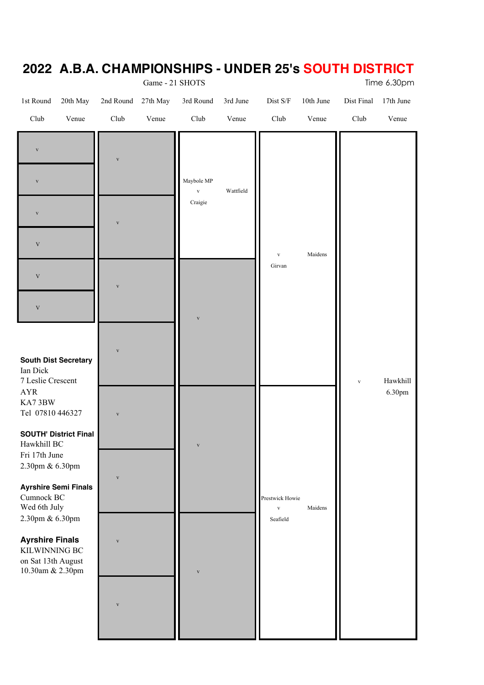|                                                                                   |                         | Game - 21 SHOTS   |                                           |                   |                                             |                    |                    | Time 6.30pm        |
|-----------------------------------------------------------------------------------|-------------------------|-------------------|-------------------------------------------|-------------------|---------------------------------------------|--------------------|--------------------|--------------------|
| 1st Round<br>20th May<br>Venue<br>Club                                            | 2nd Round<br>Club       | 27th May<br>Venue | 3rd Round<br>$\ensuremath{\mathrm{Club}}$ | 3rd June<br>Venue | $\rm Dist$ $\rm S/F$<br>Club                | 10th June<br>Venue | Dist Final<br>Club | 17th June<br>Venue |
| $\mathbf{V}$                                                                      | $\mathbf{V}$            |                   |                                           |                   |                                             |                    |                    |                    |
| $\mathbf{V}$<br>$\mathbf{V}$                                                      | $\overline{\mathbf{V}}$ |                   | Maybole MP<br>$\mathbf{V}$<br>Craigie     | Wattfield         |                                             |                    |                    |                    |
| $\mathbf V$<br>$\mathbf V$<br>$\mathbf V$                                         | $\overline{\mathbf{V}}$ |                   |                                           |                   | $\mathbf{V}$<br>Girvan                      | Maidens            |                    |                    |
| <b>South Dist Secretary</b><br>Ian Dick<br>7 Leslie Crescent                      | $\mathbf{V}$            |                   | $\mathbf{V}$                              |                   |                                             |                    | $\mathbf{V}$       | Hawkhill           |
| ${\rm AYR}$<br>KA73BW<br>Tel 07810 446327                                         | $\mathbf{V}$            |                   |                                           |                   |                                             |                    |                    | 6.30pm             |
| <b>SOUTH' District Final</b><br>Hawkhill BC<br>Fri 17th June<br>2.30pm & 6.30pm   | $\mathbf{V}$            |                   | $\mathbf{V}$                              |                   |                                             |                    |                    |                    |
| <b>Ayrshire Semi Finals</b><br>Cumnock BC<br>Wed 6th July<br>2.30pm & 6.30pm      |                         |                   |                                           |                   | Prestwick Howie<br>$\mathbf{V}$<br>Seafield | Maidens            |                    |                    |
| <b>Ayrshire Finals</b><br>KILWINNING BC<br>on Sat 13th August<br>10.30am & 2.30pm | $\mathbf{V}$            |                   | $\overline{\mathbf{V}}$                   |                   |                                             |                    |                    |                    |
|                                                                                   | $\overline{\mathbf{V}}$ |                   |                                           |                   |                                             |                    |                    |                    |
|                                                                                   |                         |                   |                                           |                   |                                             |                    |                    |                    |

#### **2022 A.B.A. CHAMPIONSHIPS - UNDER 25's SOUTH DISTRICT**